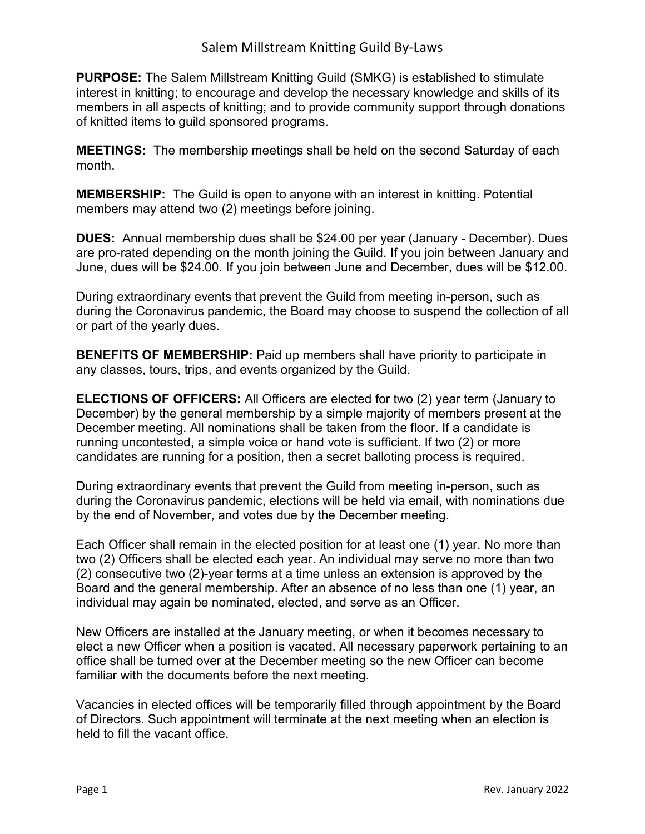**PURPOSE:** The Salem Millstream Knitting Guild (SMKG) is established to stimulate interest in knitting; to encourage and develop the necessary knowledge and skills of its members in all aspects of knitting; and to provide community support through donations of knitted items to guild sponsored programs.

**MEETINGS:** The membership meetings shall be held on the second Saturday of each month.

**MEMBERSHIP:** The Guild is open to anyone with an interest in knitting. Potential members may attend two (2) meetings before joining.

**DUES:** Annual membership dues shall be \$24.00 per year (January - December). Dues are pro-rated depending on the month joining the Guild. If you join between January and June, dues will be \$24.00. If you join between June and December, dues will be \$12.00.

During extraordinary events that prevent the Guild from meeting in-person, such as during the Coronavirus pandemic, the Board may choose to suspend the collection of all or part of the yearly dues.

**BENEFITS OF MEMBERSHIP:** Paid up members shall have priority to participate in any classes, tours, trips, and events organized by the Guild.

**ELECTIONS OF OFFICERS:** All Officers are elected for two (2) year term (January to December) by the general membership by a simple majority of members present at the December meeting. All nominations shall be taken from the floor. If a candidate is running uncontested, a simple voice or hand vote is sufficient. If two (2) or more candidates are running for a position, then a secret balloting process is required.

During extraordinary events that prevent the Guild from meeting in-person, such as during the Coronavirus pandemic, elections will be held via email, with nominations due by the end of November, and votes due by the December meeting.

Each Officer shall remain in the elected position for at least one (1) year. No more than two (2) Officers shall be elected each year. An individual may serve no more than two (2) consecutive two (2)-year terms at a time unless an extension is approved by the Board and the general membership. After an absence of no less than one (1) year, an individual may again be nominated, elected, and serve as an Officer.

New Officers are installed at the January meeting, or when it becomes necessary to elect a new Officer when a position is vacated. All necessary paperwork pertaining to an office shall be turned over at the December meeting so the new Officer can become familiar with the documents before the next meeting.

Vacancies in elected offices will be temporarily filled through appointment by the Board of Directors. Such appointment will terminate at the next meeting when an election is held to fill the vacant office.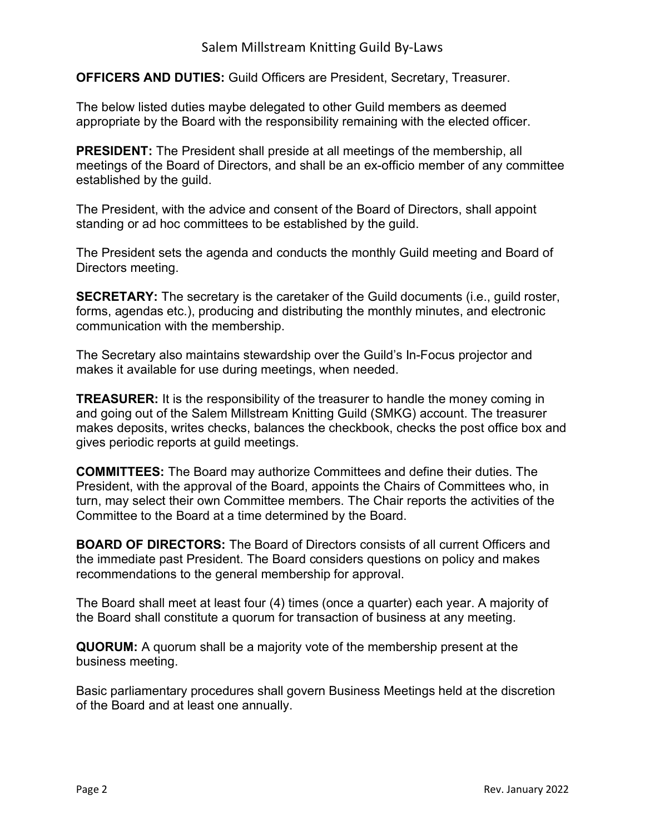**OFFICERS AND DUTIES:** Guild Officers are President, Secretary, Treasurer.

The below listed duties maybe delegated to other Guild members as deemed appropriate by the Board with the responsibility remaining with the elected officer.

**PRESIDENT:** The President shall preside at all meetings of the membership, all meetings of the Board of Directors, and shall be an ex-officio member of any committee established by the guild.

The President, with the advice and consent of the Board of Directors, shall appoint standing or ad hoc committees to be established by the guild.

The President sets the agenda and conducts the monthly Guild meeting and Board of Directors meeting.

**SECRETARY:** The secretary is the caretaker of the Guild documents (i.e., quild roster, forms, agendas etc.), producing and distributing the monthly minutes, and electronic communication with the membership.

The Secretary also maintains stewardship over the Guild's In-Focus projector and makes it available for use during meetings, when needed.

**TREASURER:** It is the responsibility of the treasurer to handle the money coming in and going out of the Salem Millstream Knitting Guild (SMKG) account. The treasurer makes deposits, writes checks, balances the checkbook, checks the post office box and gives periodic reports at guild meetings.

**COMMITTEES:** The Board may authorize Committees and define their duties. The President, with the approval of the Board, appoints the Chairs of Committees who, in turn, may select their own Committee members. The Chair reports the activities of the Committee to the Board at a time determined by the Board.

**BOARD OF DIRECTORS:** The Board of Directors consists of all current Officers and the immediate past President. The Board considers questions on policy and makes recommendations to the general membership for approval.

The Board shall meet at least four (4) times (once a quarter) each year. A majority of the Board shall constitute a quorum for transaction of business at any meeting.

**QUORUM:** A quorum shall be a majority vote of the membership present at the business meeting.

Basic parliamentary procedures shall govern Business Meetings held at the discretion of the Board and at least one annually.